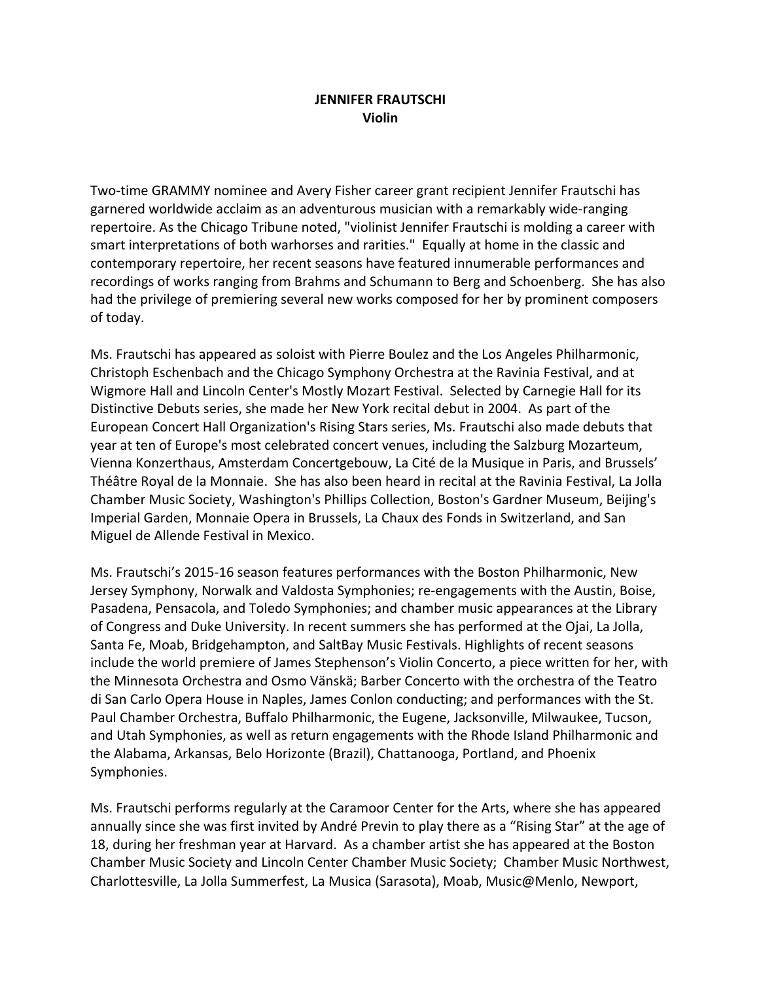## **JENNIFER FRAUTSCHI Violin**

Two-time GRAMMY nominee and Avery Fisher career grant recipient Jennifer Frautschi has garnered worldwide acclaim as an adventurous musician with a remarkably wide-ranging repertoire. As the Chicago Tribune noted, "violinist Jennifer Frautschi is molding a career with smart interpretations of both warhorses and rarities." Equally at home in the classic and contemporary repertoire, her recent seasons have featured innumerable performances and recordings of works ranging from Brahms and Schumann to Berg and Schoenberg. She has also had the privilege of premiering several new works composed for her by prominent composers of today.

Ms. Frautschi has appeared as soloist with Pierre Boulez and the Los Angeles Philharmonic, Christoph Eschenbach and the Chicago Symphony Orchestra at the Ravinia Festival, and at Wigmore Hall and Lincoln Center's Mostly Mozart Festival. Selected by Carnegie Hall for its Distinctive Debuts series, she made her New York recital debut in 2004. As part of the European Concert Hall Organization's Rising Stars series, Ms. Frautschi also made debuts that year at ten of Europe's most celebrated concert venues, including the Salzburg Mozarteum, Vienna Konzerthaus, Amsterdam Concertgebouw, La Cité de la Musique in Paris, and Brussels' Théâtre Royal de la Monnaie. She has also been heard in recital at the Ravinia Festival, La Jolla Chamber Music Society, Washington's Phillips Collection, Boston's Gardner Museum, Beijing's Imperial Garden, Monnaie Opera in Brussels, La Chaux des Fonds in Switzerland, and San Miguel de Allende Festival in Mexico.

Ms. Frautschi's 2015-16 season features performances with the Boston Philharmonic, New Jersey Symphony, Norwalk and Valdosta Symphonies; re-engagements with the Austin, Boise, Pasadena, Pensacola, and Toledo Symphonies; and chamber music appearances at the Library of Congress and Duke University. In recent summers she has performed at the Ojai, La Jolla, Santa Fe, Moab, Bridgehampton, and SaltBay Music Festivals. Highlights of recent seasons include the world premiere of James Stephenson's Violin Concerto, a piece written for her, with the Minnesota Orchestra and Osmo Vänskä; Barber Concerto with the orchestra of the Teatro di San Carlo Opera House in Naples, James Conlon conducting; and performances with the St. Paul Chamber Orchestra, Buffalo Philharmonic, the Eugene, Jacksonville, Milwaukee, Tucson, and Utah Symphonies, as well as return engagements with the Rhode Island Philharmonic and the Alabama, Arkansas, Belo Horizonte (Brazil), Chattanooga, Portland, and Phoenix Symphonies.

Ms. Frautschi performs regularly at the Caramoor Center for the Arts, where she has appeared annually since she was first invited by André Previn to play there as a "Rising Star" at the age of 18, during her freshman year at Harvard. As a chamber artist she has appeared at the Boston Chamber Music Society and Lincoln Center Chamber Music Society; Chamber Music Northwest, Charlottesville, La Jolla Summerfest, La Musica (Sarasota), Moab, Music@Menlo, Newport,